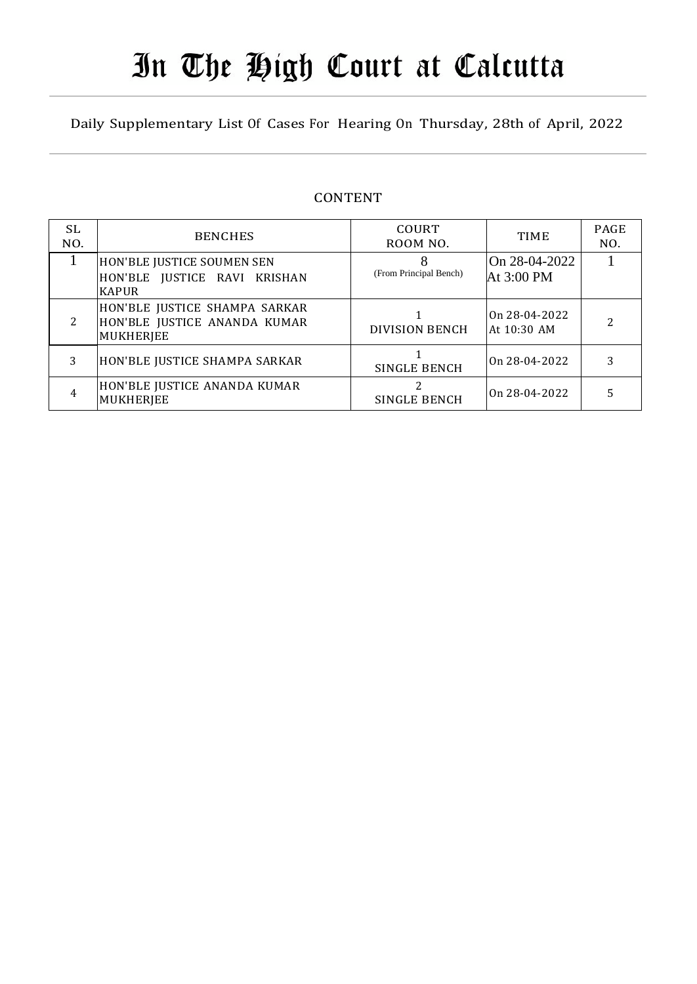# In The High Court at Calcutta

Daily Supplementary List Of Cases For Hearing On Thursday, 28th of April, 2022

#### CONTENT

| SL.<br>NO. | <b>BENCHES</b>                                                             | <b>COURT</b><br>ROOM NO. | <b>TIME</b>                  | <b>PAGE</b><br>NO. |
|------------|----------------------------------------------------------------------------|--------------------------|------------------------------|--------------------|
|            | HON'BLE JUSTICE SOUMEN SEN<br>HON'BLE JUSTICE RAVI KRISHAN<br><b>KAPUR</b> | (From Principal Bench)   | On 28-04-2022<br>At 3:00 PM  |                    |
| $2^{1}$    | HON'BLE JUSTICE SHAMPA SARKAR<br>HON'BLE JUSTICE ANANDA KUMAR<br>MUKHERJEE | <b>DIVISION BENCH</b>    | On 28-04-2022<br>At 10:30 AM |                    |
| 3          | HON'BLE JUSTICE SHAMPA SARKAR                                              | <b>SINGLE BENCH</b>      | On 28-04-2022                |                    |
| 4          | HON'BLE JUSTICE ANANDA KUMAR<br>MUKHERJEE                                  | SINGLE BENCH             | On 28-04-2022                |                    |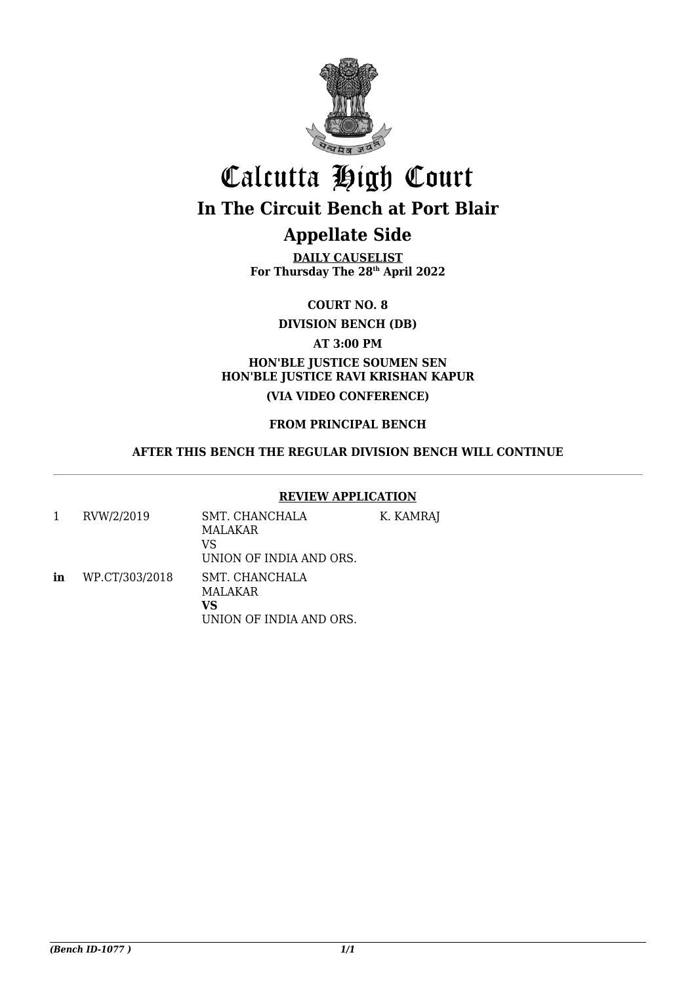

## Calcutta High Court **In The Circuit Bench at Port Blair**

## **Appellate Side**

**DAILY CAUSELIST For Thursday The 28th April 2022**

**COURT NO. 8**

**DIVISION BENCH (DB)**

**AT 3:00 PM**

#### **HON'BLE JUSTICE SOUMEN SEN HON'BLE JUSTICE RAVI KRISHAN KAPUR (VIA VIDEO CONFERENCE)**

#### **FROM PRINCIPAL BENCH**

#### **AFTER THIS BENCH THE REGULAR DIVISION BENCH WILL CONTINUE**

#### **REVIEW APPLICATION**

| 1  | RVW/2/2019     | SMT. CHANCHALA<br>MALAKAR<br>VS<br>UNION OF INDIA AND ORS. | K. KAMRAJ |
|----|----------------|------------------------------------------------------------|-----------|
| in | WP.CT/303/2018 | SMT. CHANCHALA<br>MALAKAR<br>vs<br>UNION OF INDIA AND ORS. |           |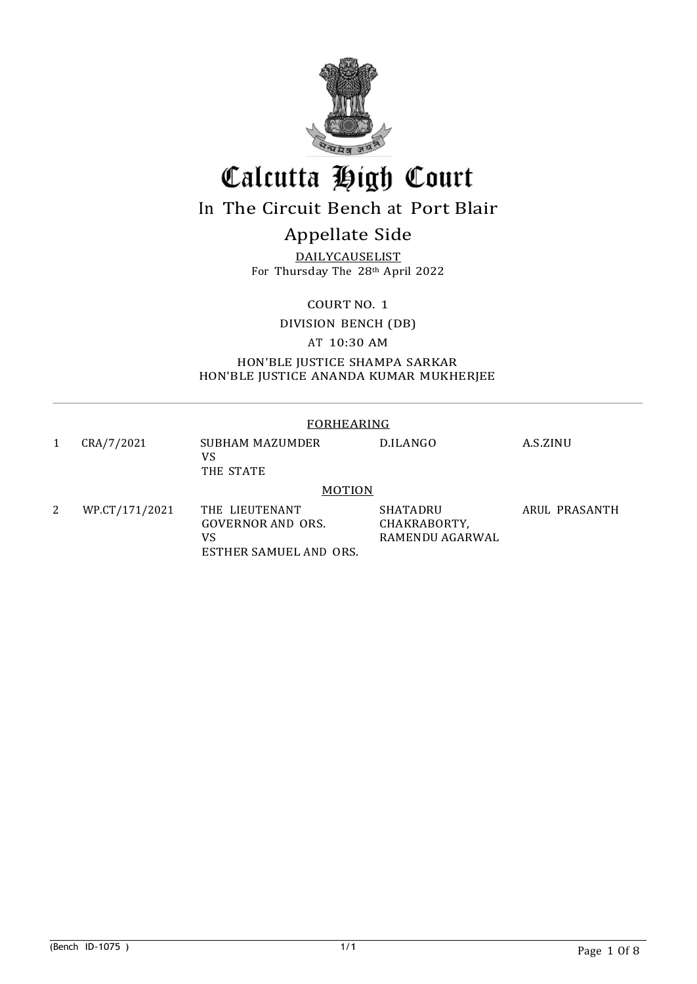

## Calcutta High Court

## In The Circuit Bench at Port Blair

## Appellate Side

DAILYCAUSELIST For Thursday The 28th April 2022

COURT NO. 1

DIVISION BENCH (DB)

AT 10:30 AM

HON'BLE JUSTICE SHAMPA SARKAR HON'BLE JUSTICE ANANDA KUMAR MUKHERJEE

#### FORHEARING

1 CRA/7/2021 SUBHAM MAZUMDER VS THE STATE D.ILANGO A.S.ZINU 2 WP.CT/171/2021 THE LIEUTENANT **MOTION** SHATADRU ARUL PRASANTH GOVERNOR AND ORS. VS CHAKRABORTY, RAMENDU AGARWAL

ESTHER SAMUEL AND ORS.

(Bench ID-1075) 2013 12:3 and 1/1 Page 1 Of 8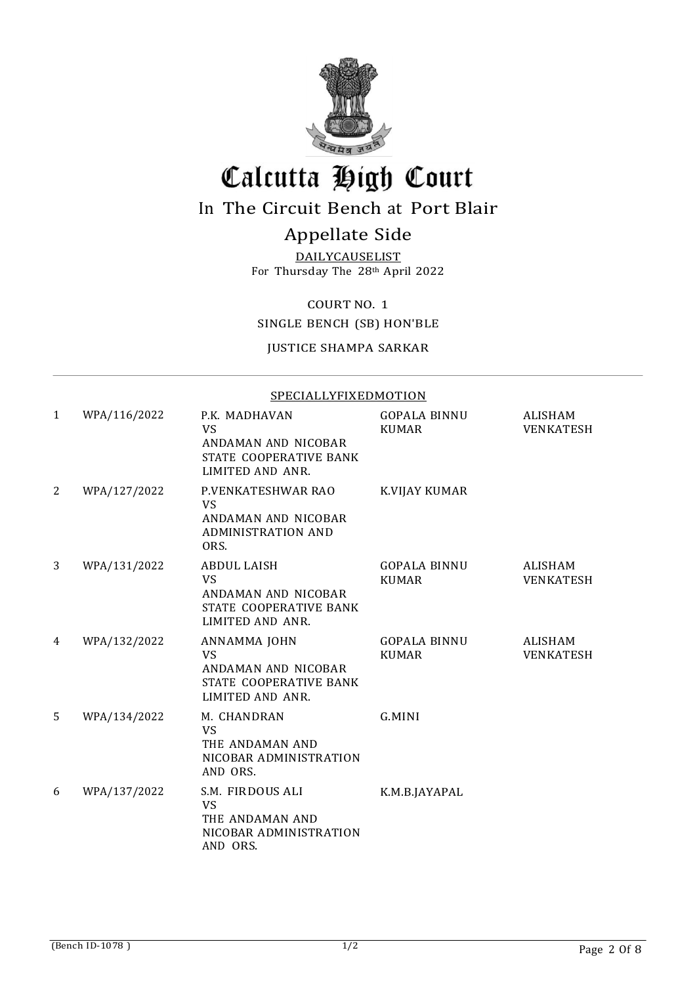

## Calcutta High Court

## In The Circuit Bench at Port Blair

### Appellate Side

DAILYCAUSELIST For Thursday The 28th April 2022

COURT NO. 1

SINGLE BENCH (SB) HON'BLE

#### JUSTICE SHAMPA SARKAR

#### SPECIALLYFIXEDMOTION

| 1 | WPA/116/2022 | P.K. MADHAVAN<br>VS<br>ANDAMAN AND NICOBAR<br>STATE COOPERATIVE BANK<br>LIMITED AND ANR.             | <b>GOPALA BINNU</b><br><b>KUMAR</b> | ALISHAM<br><b>VENKATESH</b> |
|---|--------------|------------------------------------------------------------------------------------------------------|-------------------------------------|-----------------------------|
| 2 | WPA/127/2022 | P.VENKATESHWAR RAO<br><b>VS</b><br>ANDAMAN AND NICOBAR<br><b>ADMINISTRATION AND</b><br>ORS.          | K.VIJAY KUMAR                       |                             |
| 3 | WPA/131/2022 | <b>ABDUL LAISH</b><br><b>VS</b><br>ANDAMAN AND NICOBAR<br>STATE COOPERATIVE BANK<br>LIMITED AND ANR. | <b>GOPALA BINNU</b><br><b>KUMAR</b> | ALISHAM<br><b>VENKATESH</b> |
| 4 | WPA/132/2022 | ANNAMMA JOHN<br><b>VS</b><br>ANDAMAN AND NICOBAR<br>STATE COOPERATIVE BANK<br>LIMITED AND ANR.       | <b>GOPALA BINNU</b><br><b>KUMAR</b> | <b>ALISHAM</b><br>VENKATESH |
| 5 | WPA/134/2022 | M. CHANDRAN<br><b>VS</b><br>THE ANDAMAN AND<br>NICOBAR ADMINISTRATION<br>AND ORS.                    | G.MINI                              |                             |
| 6 | WPA/137/2022 | S.M. FIRDOUS ALI<br><b>VS</b><br>THE ANDAMAN AND<br>NICOBAR ADMINISTRATION<br>AND ORS.               | K.M.B.JAYAPAL                       |                             |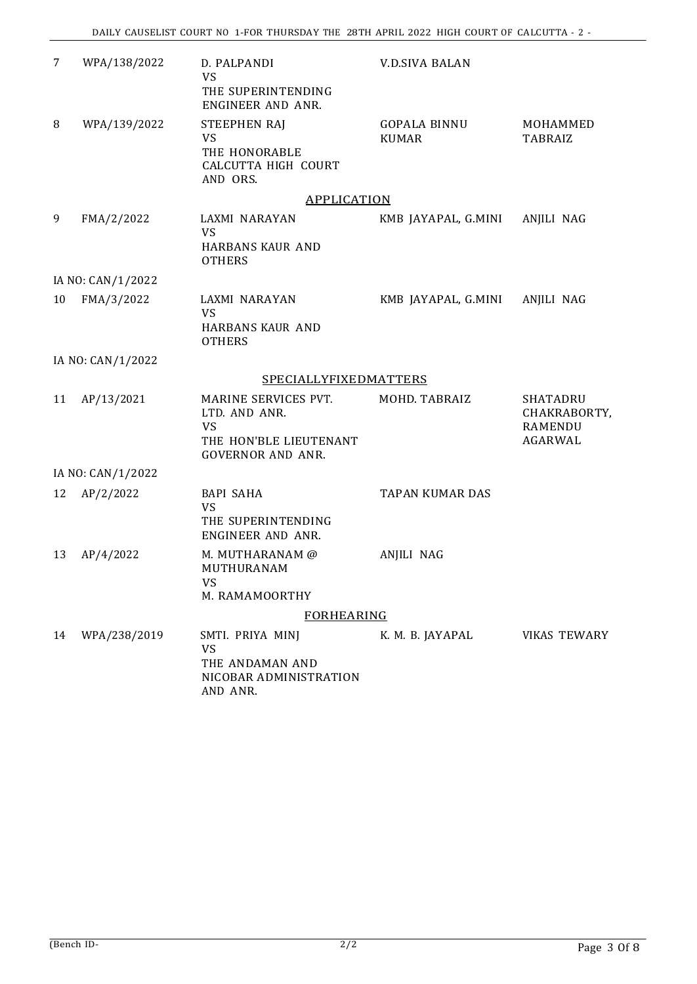| 7  | WPA/138/2022      | D. PALPANDI<br><b>VS</b><br>THE SUPERINTENDING<br>ENGINEER AND ANR.                               | <b>V.D.SIVA BALAN</b>               |                                                       |
|----|-------------------|---------------------------------------------------------------------------------------------------|-------------------------------------|-------------------------------------------------------|
| 8  | WPA/139/2022      | STEEPHEN RAJ<br><b>VS</b><br>THE HONORABLE<br>CALCUTTA HIGH COURT<br>AND ORS.                     | <b>GOPALA BINNU</b><br><b>KUMAR</b> | MOHAMMED<br><b>TABRAIZ</b>                            |
|    |                   | <b>APPLICATION</b>                                                                                |                                     |                                                       |
| 9  | FMA/2/2022        | LAXMI NARAYAN<br><b>VS</b><br><b>HARBANS KAUR AND</b><br><b>OTHERS</b>                            | KMB JAYAPAL, G.MINI                 | ANJILI NAG                                            |
|    | IA NO: CAN/1/2022 |                                                                                                   |                                     |                                                       |
| 10 | FMA/3/2022        | LAXMI NARAYAN<br><b>VS</b><br><b>HARBANS KAUR AND</b><br><b>OTHERS</b>                            | KMB JAYAPAL, G.MINI                 | ANJILI NAG                                            |
|    | IA NO: CAN/1/2022 |                                                                                                   |                                     |                                                       |
|    |                   | <b>SPECIALLYFIXEDMATTERS</b>                                                                      |                                     |                                                       |
| 11 | AP/13/2021        | MARINE SERVICES PVT.<br>LTD. AND ANR.<br>VS<br>THE HON'BLE LIEUTENANT<br><b>GOVERNOR AND ANR.</b> | MOHD. TABRAIZ                       | <b>SHATADRU</b><br>CHAKRABORTY,<br>RAMENDU<br>AGARWAL |
|    | IA NO: CAN/1/2022 |                                                                                                   |                                     |                                                       |
| 12 | AP/2/2022         | <b>BAPI SAHA</b><br>VS<br>THE SUPERINTENDING<br>ENGINEER AND ANR.                                 | <b>TAPAN KUMAR DAS</b>              |                                                       |
| 13 | AP/4/2022         | M. MUTHARANAM @<br>MUTHURANAM<br><b>VS</b><br>M. RAMAMOORTHY                                      | ANJILI NAG                          |                                                       |
|    |                   | <b>FORHEARING</b>                                                                                 |                                     |                                                       |
| 14 | WPA/238/2019      | SMTI. PRIYA MINJ<br>VS<br>THE ANDAMAN AND<br>NICOBAR ADMINISTRATION<br>AND ANR.                   | K. M. B. JAYAPAL                    | <b>VIKAS TEWARY</b>                                   |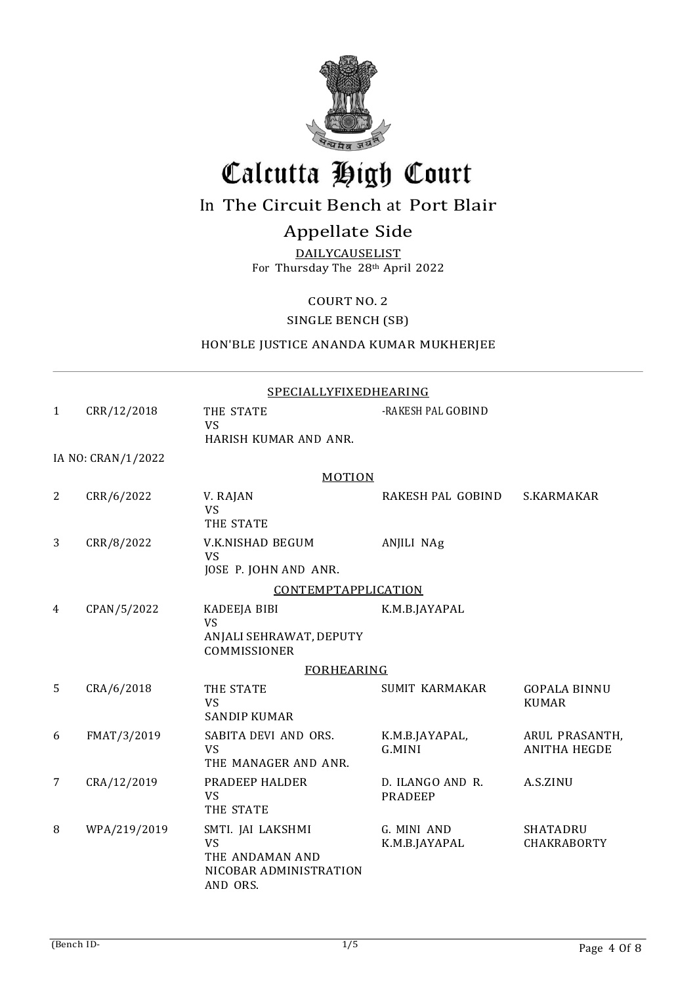

## Calcutta High Court

### In The Circuit Bench at Port Blair

### Appellate Side

**DAILYCAUSELIST** For Thursday The 28th April 2022

COURT NO. 2

SINGLE BENCH (SB)

#### HON'BLE JUSTICE ANANDA KUMAR MUKHERJEE

|              | SPECIALLYFIXEDHEARING |                                                                                         |                                    |                                       |  |
|--------------|-----------------------|-----------------------------------------------------------------------------------------|------------------------------------|---------------------------------------|--|
| $\mathbf{1}$ | CRR/12/2018           | THE STATE<br>VS<br>HARISH KUMAR AND ANR.                                                | -RAKESH PAL GOBIND                 |                                       |  |
|              | IA NO: CRAN/1/2022    |                                                                                         |                                    |                                       |  |
|              |                       | <b>MOTION</b>                                                                           |                                    |                                       |  |
| 2            | CRR/6/2022            | V. RAJAN<br><b>VS</b><br>THE STATE                                                      | RAKESH PAL GOBIND                  | S.KARMAKAR                            |  |
| 3            | CRR/8/2022            | V.K.NISHAD BEGUM<br><b>VS</b><br>JOSE P. JOHN AND ANR.                                  | ANJILI NAg                         |                                       |  |
|              |                       | <b>CONTEMPTAPPLICATION</b>                                                              |                                    |                                       |  |
| 4            | CPAN/5/2022           | KADEEJA BIBI<br><b>VS</b><br>ANJALI SEHRAWAT, DEPUTY<br>COMMISSIONER                    | K.M.B.JAYAPAL                      |                                       |  |
|              |                       | <b>FORHEARING</b>                                                                       |                                    |                                       |  |
| 5            | CRA/6/2018            | THE STATE<br><b>VS</b><br><b>SANDIP KUMAR</b>                                           | <b>SUMIT KARMAKAR</b>              | <b>GOPALA BINNU</b><br><b>KUMAR</b>   |  |
| 6            | FMAT/3/2019           | SABITA DEVI AND ORS.<br><b>VS</b><br>THE MANAGER AND ANR.                               | K.M.B.JAYAPAL,<br>G.MINI           | ARUL PRASANTH,<br><b>ANITHA HEGDE</b> |  |
| 7            | CRA/12/2019           | PRADEEP HALDER<br><b>VS</b><br>THE STATE                                                | D. ILANGO AND R.<br><b>PRADEEP</b> | A.S.ZINU                              |  |
| 8            | WPA/219/2019          | SMTI. JAI LAKSHMI<br><b>VS</b><br>THE ANDAMAN AND<br>NICOBAR ADMINISTRATION<br>AND ORS. | G. MINI AND<br>K.M.B.JAYAPAL       | SHATADRU<br>CHAKRABORTY               |  |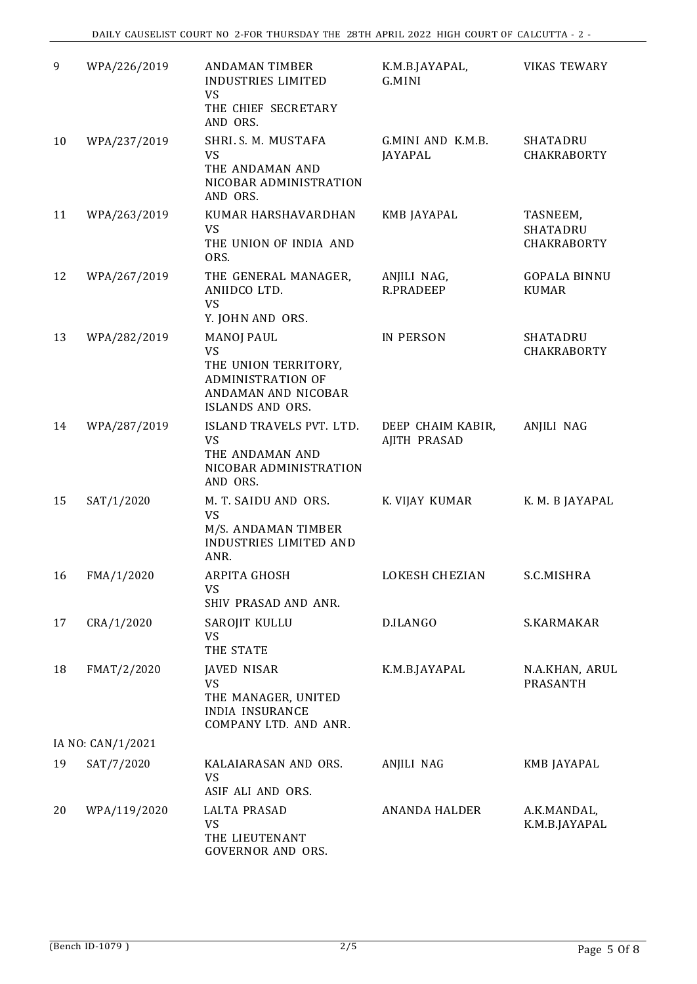| 9  | WPA/226/2019      | <b>ANDAMAN TIMBER</b><br>INDUSTRIES LIMITED<br><b>VS</b><br>THE CHIEF SECRETARY                                 | K.M.B.JAYAPAL,<br>G.MINI          | <b>VIKAS TEWARY</b>                 |
|----|-------------------|-----------------------------------------------------------------------------------------------------------------|-----------------------------------|-------------------------------------|
|    |                   | AND ORS.                                                                                                        |                                   |                                     |
| 10 | WPA/237/2019      | SHRI. S. M. MUSTAFA<br><b>VS</b><br>THE ANDAMAN AND<br>NICOBAR ADMINISTRATION<br>AND ORS.                       | G.MINI AND K.M.B.<br>JAYAPAL      | <b>SHATADRU</b><br>CHAKRABORTY      |
| 11 | WPA/263/2019      | KUMAR HARSHAVARDHAN<br>VS<br>THE UNION OF INDIA AND<br>ORS.                                                     | <b>KMB JAYAPAL</b>                | TASNEEM,<br>SHATADRU<br>CHAKRABORTY |
| 12 | WPA/267/2019      | THE GENERAL MANAGER,<br>ANIIDCO LTD.<br><b>VS</b><br>Y. JOHN AND ORS.                                           | ANJILI NAG,<br><b>R.PRADEEP</b>   | <b>GOPALA BINNU</b><br><b>KUMAR</b> |
| 13 | WPA/282/2019      | <b>MANOJ PAUL</b>                                                                                               | <b>IN PERSON</b>                  | <b>SHATADRU</b>                     |
|    |                   | <b>VS</b><br>THE UNION TERRITORY,<br><b>ADMINISTRATION OF</b><br>ANDAMAN AND NICOBAR<br><b>ISLANDS AND ORS.</b> |                                   | CHAKRABORTY                         |
| 14 | WPA/287/2019      | ISLAND TRAVELS PVT. LTD.<br>VS<br>THE ANDAMAN AND<br>NICOBAR ADMINISTRATION<br>AND ORS.                         | DEEP CHAIM KABIR,<br>AJITH PRASAD | ANJILI NAG                          |
| 15 | SAT/1/2020        | M. T. SAIDU AND ORS.<br><b>VS</b><br>M/S. ANDAMAN TIMBER<br><b>INDUSTRIES LIMITED AND</b><br>ANR.               | K. VIJAY KUMAR                    | K. M. B JAYAPAL                     |
| 16 | FMA/1/2020        | ARPITA GHOSH<br>VS<br>SHIV PRASAD AND ANR.                                                                      | LOKESH CHEZIAN                    | S.C.MISHRA                          |
| 17 | CRA/1/2020        | SAROJIT KULLU<br>VS<br>THE STATE                                                                                | D.ILANGO                          | S.KARMAKAR                          |
| 18 | FMAT/2/2020       | <b>JAVED NISAR</b><br><b>VS</b><br>THE MANAGER, UNITED<br><b>INDIA INSURANCE</b><br>COMPANY LTD. AND ANR.       | K.M.B.JAYAPAL                     | N.A.KHAN, ARUL<br>PRASANTH          |
|    | IA NO: CAN/1/2021 |                                                                                                                 |                                   |                                     |
| 19 | SAT/7/2020        | KALAIARASAN AND ORS.<br><b>VS</b><br>ASIF ALI AND ORS.                                                          | ANJILI NAG                        | KMB JAYAPAL                         |
| 20 | WPA/119/2020      | <b>LALTA PRASAD</b><br><b>VS</b><br>THE LIEUTENANT<br>GOVERNOR AND ORS.                                         | ANANDA HALDER                     | A.K.MANDAL,<br>K.M.B.JAYAPAL        |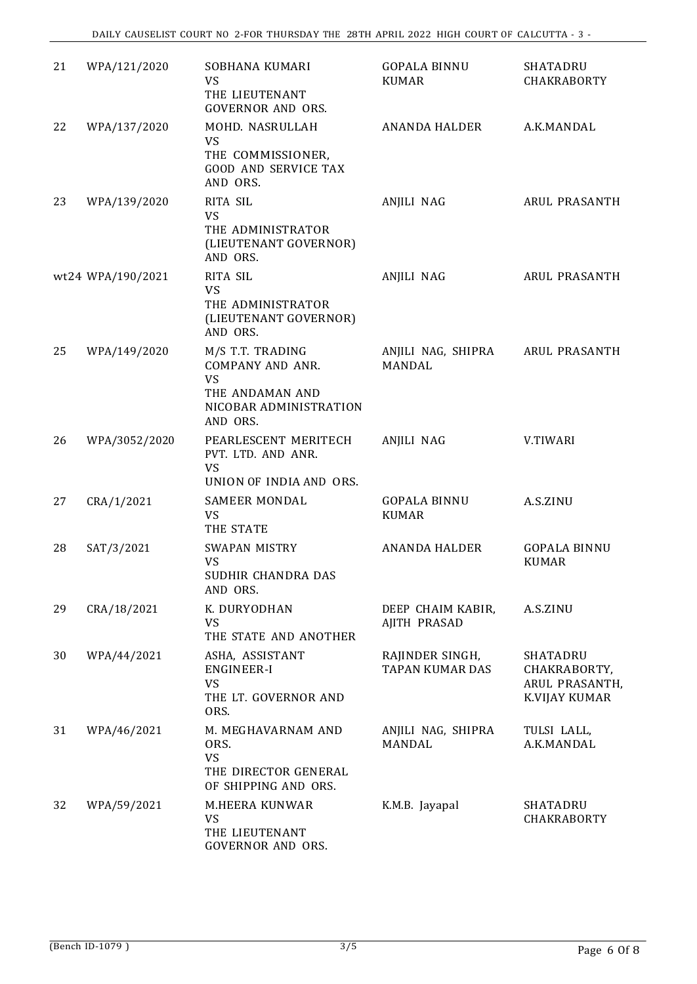| 21 | WPA/121/2020      | SOBHANA KUMARI<br>VS<br>THE LIEUTENANT<br><b>GOVERNOR AND ORS.</b>                                         | <b>GOPALA BINNU</b><br><b>KUMAR</b>       | SHATADRU<br><b>CHAKRABORTY</b>                              |
|----|-------------------|------------------------------------------------------------------------------------------------------------|-------------------------------------------|-------------------------------------------------------------|
| 22 | WPA/137/2020      | MOHD. NASRULLAH<br><b>VS</b><br>THE COMMISSIONER,<br><b>GOOD AND SERVICE TAX</b><br>AND ORS.               | <b>ANANDA HALDER</b>                      | A.K.MANDAL                                                  |
| 23 | WPA/139/2020      | <b>RITA SIL</b><br><b>VS</b><br>THE ADMINISTRATOR<br>(LIEUTENANT GOVERNOR)<br>AND ORS.                     | ANJILI NAG                                | ARUL PRASANTH                                               |
|    | wt24 WPA/190/2021 | <b>RITA SIL</b><br><b>VS</b><br>THE ADMINISTRATOR<br>(LIEUTENANT GOVERNOR)<br>AND ORS.                     | ANJILI NAG                                | ARUL PRASANTH                                               |
| 25 | WPA/149/2020      | M/S T.T. TRADING<br>COMPANY AND ANR.<br><b>VS</b><br>THE ANDAMAN AND<br>NICOBAR ADMINISTRATION<br>AND ORS. | ANJILI NAG, SHIPRA<br><b>MANDAL</b>       | ARUL PRASANTH                                               |
| 26 | WPA/3052/2020     | PEARLESCENT MERITECH<br>PVT. LTD. AND ANR.<br><b>VS</b><br>UNION OF INDIA AND ORS.                         | ANJILI NAG                                | V.TIWARI                                                    |
| 27 | CRA/1/2021        | SAMEER MONDAL<br><b>VS</b><br>THE STATE                                                                    | <b>GOPALA BINNU</b><br><b>KUMAR</b>       | A.S.ZINU                                                    |
| 28 | SAT/3/2021        | SWAPAN MISTRY<br><b>VS</b><br>SUDHIR CHANDRA DAS<br>AND ORS.                                               | <b>ANANDA HALDER</b>                      | <b>GOPALA BINNU</b><br><b>KUMAR</b>                         |
| 29 | CRA/18/2021       | K. DURYODHAN<br><b>VS</b><br>THE STATE AND ANOTHER                                                         | DEEP CHAIM KABIR,<br>AJITH PRASAD         | A.S.ZINU                                                    |
| 30 | WPA/44/2021       | ASHA, ASSISTANT<br><b>ENGINEER-I</b><br><b>VS</b><br>THE LT. GOVERNOR AND<br>ORS.                          | RAJINDER SINGH,<br><b>TAPAN KUMAR DAS</b> | SHATADRU<br>CHAKRABORTY,<br>ARUL PRASANTH,<br>K.VIJAY KUMAR |
| 31 | WPA/46/2021       | M. MEGHAVARNAM AND<br>ORS.<br><b>VS</b><br>THE DIRECTOR GENERAL<br>OF SHIPPING AND ORS.                    | ANJILI NAG, SHIPRA<br>MANDAL              | TULSI LALL,<br>A.K.MANDAL                                   |
| 32 | WPA/59/2021       | M.HEERA KUNWAR<br><b>VS</b><br>THE LIEUTENANT<br>GOVERNOR AND ORS.                                         | K.M.B. Jayapal                            | SHATADRU<br>CHAKRABORTY                                     |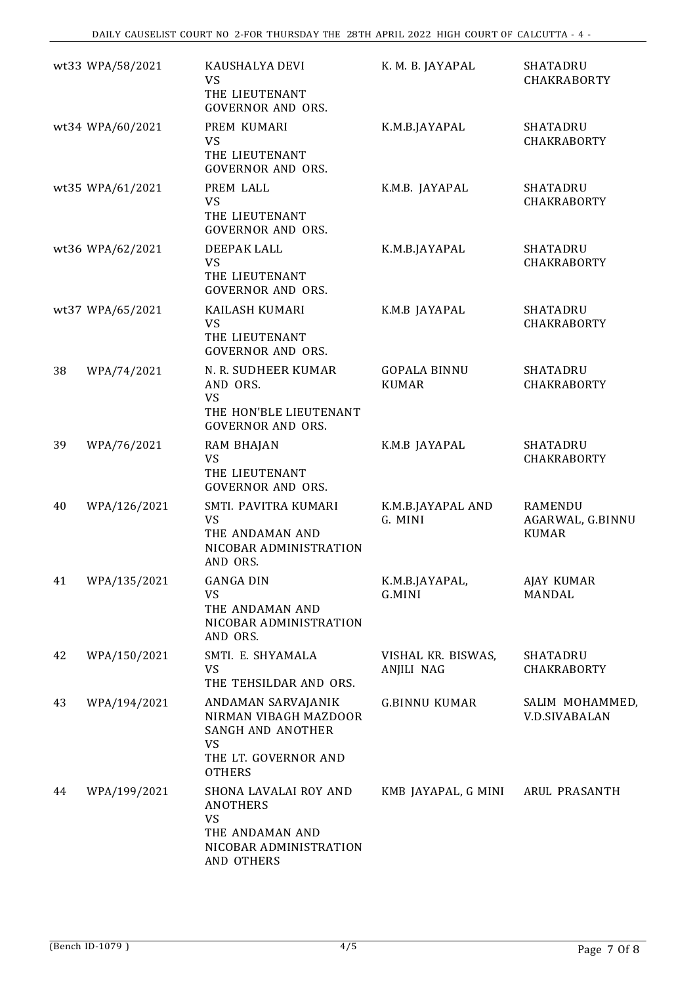|    | wt33 WPA/58/2021 | KAUSHALYA DEVI<br><b>VS</b><br>THE LIEUTENANT<br><b>GOVERNOR AND ORS.</b>                                        | K. M. B. JAYAPAL                        | <b>SHATADRU</b><br><b>CHAKRABORTY</b>              |
|----|------------------|------------------------------------------------------------------------------------------------------------------|-----------------------------------------|----------------------------------------------------|
|    | wt34 WPA/60/2021 | PREM KUMARI<br><b>VS</b><br>THE LIEUTENANT<br><b>GOVERNOR AND ORS.</b>                                           | K.M.B.JAYAPAL                           | <b>SHATADRU</b><br>CHAKRABORTY                     |
|    | wt35 WPA/61/2021 | PREM LALL<br><b>VS</b><br>THE LIEUTENANT<br><b>GOVERNOR AND ORS.</b>                                             | K.M.B. JAYAPAL                          | SHATADRU<br>CHAKRABORTY                            |
|    | wt36 WPA/62/2021 | DEEPAK LALL<br><b>VS</b><br>THE LIEUTENANT<br><b>GOVERNOR AND ORS.</b>                                           | K.M.B.JAYAPAL                           | <b>SHATADRU</b><br><b>CHAKRABORTY</b>              |
|    | wt37 WPA/65/2021 | KAILASH KUMARI<br><b>VS</b><br>THE LIEUTENANT<br><b>GOVERNOR AND ORS.</b>                                        | K.M.B JAYAPAL                           | SHATADRU<br>CHAKRABORTY                            |
| 38 | WPA/74/2021      | N. R. SUDHEER KUMAR<br>AND ORS.<br><b>VS</b><br>THE HON'BLE LIEUTENANT<br><b>GOVERNOR AND ORS.</b>               | <b>GOPALA BINNU</b><br><b>KUMAR</b>     | SHATADRU<br>CHAKRABORTY                            |
| 39 | WPA/76/2021      | RAM BHAJAN<br><b>VS</b><br>THE LIEUTENANT<br><b>GOVERNOR AND ORS.</b>                                            | K.M.B JAYAPAL                           | <b>SHATADRU</b><br>CHAKRABORTY                     |
| 40 | WPA/126/2021     | SMTI. PAVITRA KUMARI<br><b>VS</b><br>THE ANDAMAN AND<br>NICOBAR ADMINISTRATION<br>AND ORS.                       | K.M.B.JAYAPAL AND<br>G. MINI            | <b>RAMENDU</b><br>AGARWAL, G.BINNU<br><b>KUMAR</b> |
| 41 | WPA/135/2021     | <b>GANGA DIN</b><br>VS<br>THE ANDAMAN AND<br>NICOBAR ADMINISTRATION<br>AND ORS.                                  | K.M.B.JAYAPAL,<br>G.MINI                | AJAY KUMAR<br>MANDAL                               |
| 42 | WPA/150/2021     | SMTI. E. SHYAMALA<br>VS<br>THE TEHSILDAR AND ORS.                                                                | VISHAL KR. BISWAS,<br><b>ANJILI NAG</b> | <b>SHATADRU</b><br>CHAKRABORTY                     |
| 43 | WPA/194/2021     | ANDAMAN SARVAJANIK<br>NIRMAN VIBAGH MAZDOOR<br>SANGH AND ANOTHER<br>VS<br>THE LT. GOVERNOR AND<br><b>OTHERS</b>  | <b>G.BINNU KUMAR</b>                    | SALIM MOHAMMED<br><b>V.D.SIVABALAN</b>             |
| 44 | WPA/199/2021     | SHONA LAVALAI ROY AND<br><b>ANOTHERS</b><br><b>VS</b><br>THE ANDAMAN AND<br>NICOBAR ADMINISTRATION<br>AND OTHERS | KMB JAYAPAL, G MINI                     | ARUL PRASANTH                                      |